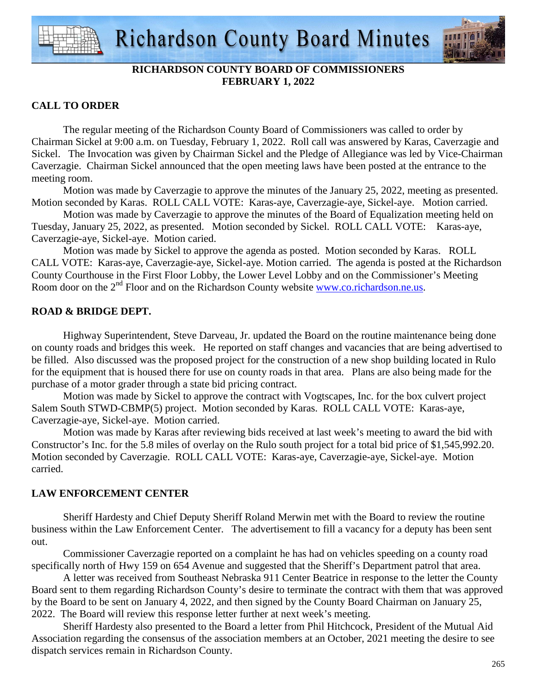

# **RICHARDSON COUNTY BOARD OF COMMISSIONERS FEBRUARY 1, 2022**

# **CALL TO ORDER**

 The regular meeting of the Richardson County Board of Commissioners was called to order by Chairman Sickel at 9:00 a.m. on Tuesday, February 1, 2022. Roll call was answered by Karas, Caverzagie and Sickel. The Invocation was given by Chairman Sickel and the Pledge of Allegiance was led by Vice-Chairman Caverzagie. Chairman Sickel announced that the open meeting laws have been posted at the entrance to the meeting room.

 Motion was made by Caverzagie to approve the minutes of the January 25, 2022, meeting as presented. Motion seconded by Karas. ROLL CALL VOTE: Karas-aye, Caverzagie-aye, Sickel-aye. Motion carried.

 Motion was made by Caverzagie to approve the minutes of the Board of Equalization meeting held on Tuesday, January 25, 2022, as presented. Motion seconded by Sickel. ROLL CALL VOTE: Karas-aye, Caverzagie-aye, Sickel-aye. Motion caried.

 Motion was made by Sickel to approve the agenda as posted. Motion seconded by Karas. ROLL CALL VOTE: Karas-aye, Caverzagie-aye, Sickel-aye. Motion carried. The agenda is posted at the Richardson County Courthouse in the First Floor Lobby, the Lower Level Lobby and on the Commissioner's Meeting Room door on the 2<sup>nd</sup> Floor and on the Richardson County website www.co.richardson.ne.us.

# **ROAD & BRIDGE DEPT.**

 Highway Superintendent, Steve Darveau, Jr. updated the Board on the routine maintenance being done on county roads and bridges this week. He reported on staff changes and vacancies that are being advertised to be filled. Also discussed was the proposed project for the construction of a new shop building located in Rulo for the equipment that is housed there for use on county roads in that area. Plans are also being made for the purchase of a motor grader through a state bid pricing contract.

 Motion was made by Sickel to approve the contract with Vogtscapes, Inc. for the box culvert project Salem South STWD-CBMP(5) project. Motion seconded by Karas. ROLL CALL VOTE: Karas-aye, Caverzagie-aye, Sickel-aye. Motion carried.

 Motion was made by Karas after reviewing bids received at last week's meeting to award the bid with Constructor's Inc. for the 5.8 miles of overlay on the Rulo south project for a total bid price of \$1,545,992.20. Motion seconded by Caverzagie. ROLL CALL VOTE: Karas-aye, Caverzagie-aye, Sickel-aye. Motion carried.

# **LAW ENFORCEMENT CENTER**

 Sheriff Hardesty and Chief Deputy Sheriff Roland Merwin met with the Board to review the routine business within the Law Enforcement Center. The advertisement to fill a vacancy for a deputy has been sent out.

 Commissioner Caverzagie reported on a complaint he has had on vehicles speeding on a county road specifically north of Hwy 159 on 654 Avenue and suggested that the Sheriff's Department patrol that area.

 A letter was received from Southeast Nebraska 911 Center Beatrice in response to the letter the County Board sent to them regarding Richardson County's desire to terminate the contract with them that was approved by the Board to be sent on January 4, 2022, and then signed by the County Board Chairman on January 25, 2022. The Board will review this response letter further at next week's meeting.

 Sheriff Hardesty also presented to the Board a letter from Phil Hitchcock, President of the Mutual Aid Association regarding the consensus of the association members at an October, 2021 meeting the desire to see dispatch services remain in Richardson County.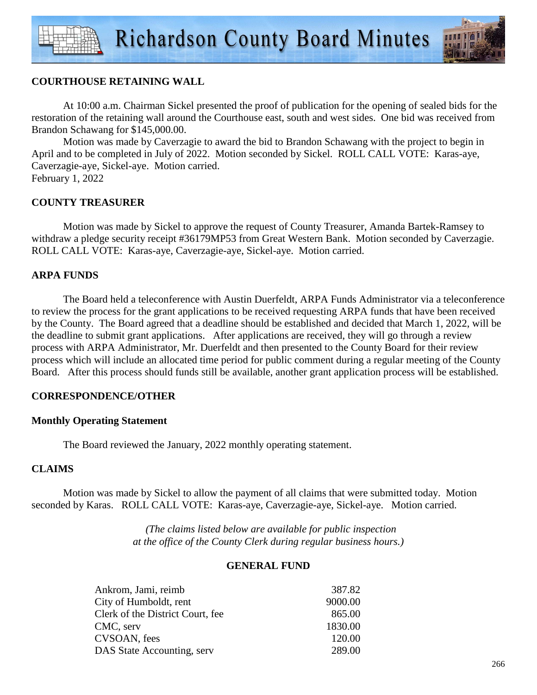

# **COURTHOUSE RETAINING WALL**

 At 10:00 a.m. Chairman Sickel presented the proof of publication for the opening of sealed bids for the restoration of the retaining wall around the Courthouse east, south and west sides. One bid was received from Brandon Schawang for \$145,000.00.

Motion was made by Caverzagie to award the bid to Brandon Schawang with the project to begin in April and to be completed in July of 2022. Motion seconded by Sickel. ROLL CALL VOTE: Karas-aye, Caverzagie-aye, Sickel-aye. Motion carried. February 1, 2022

## **COUNTY TREASURER**

 Motion was made by Sickel to approve the request of County Treasurer, Amanda Bartek-Ramsey to withdraw a pledge security receipt #36179MP53 from Great Western Bank. Motion seconded by Caverzagie. ROLL CALL VOTE: Karas-aye, Caverzagie-aye, Sickel-aye. Motion carried.

## **ARPA FUNDS**

 The Board held a teleconference with Austin Duerfeldt, ARPA Funds Administrator via a teleconference to review the process for the grant applications to be received requesting ARPA funds that have been received by the County. The Board agreed that a deadline should be established and decided that March 1, 2022, will be the deadline to submit grant applications. After applications are received, they will go through a review process with ARPA Administrator, Mr. Duerfeldt and then presented to the County Board for their review process which will include an allocated time period for public comment during a regular meeting of the County Board. After this process should funds still be available, another grant application process will be established.

## **CORRESPONDENCE/OTHER**

## **Monthly Operating Statement**

The Board reviewed the January, 2022 monthly operating statement.

## **CLAIMS**

Motion was made by Sickel to allow the payment of all claims that were submitted today. Motion seconded by Karas. ROLL CALL VOTE: Karas-aye, Caverzagie-aye, Sickel-aye. Motion carried.

> *(The claims listed below are available for public inspection at the office of the County Clerk during regular business hours.)*

#### **GENERAL FUND**

| Ankrom, Jami, reimb              | 387.82  |
|----------------------------------|---------|
| City of Humboldt, rent           | 9000.00 |
| Clerk of the District Court, fee | 865.00  |
| CMC, serv                        | 1830.00 |
| CVSOAN, fees                     | 120.00  |
| DAS State Accounting, serv       | 289.00  |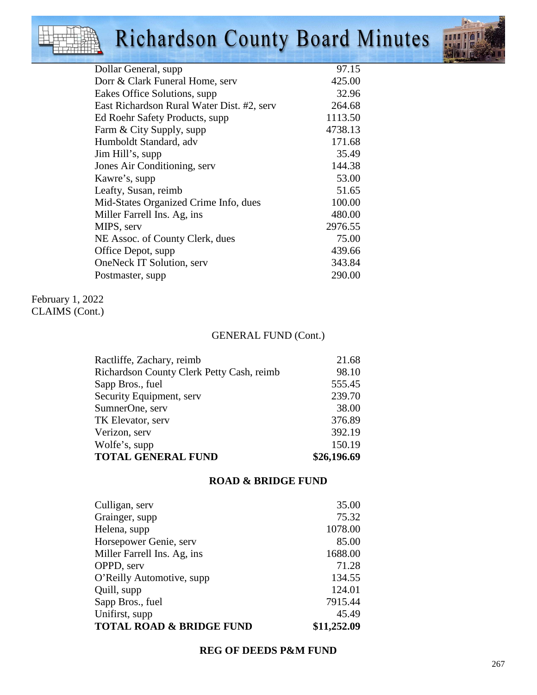# Richardson County Board Minutes



| Dollar General, supp                       | 97.15   |
|--------------------------------------------|---------|
| Dorr & Clark Funeral Home, serv            | 425.00  |
| Eakes Office Solutions, supp.              | 32.96   |
| East Richardson Rural Water Dist. #2, serv | 264.68  |
| Ed Roehr Safety Products, supp             | 1113.50 |
| Farm & City Supply, supp                   | 4738.13 |
| Humboldt Standard, adv                     | 171.68  |
| Jim Hill's, supp                           | 35.49   |
| Jones Air Conditioning, serv               | 144.38  |
| Kawre's, supp                              | 53.00   |
| Leafty, Susan, reimb                       | 51.65   |
| Mid-States Organized Crime Info, dues      | 100.00  |
| Miller Farrell Ins. Ag, ins                | 480.00  |
| MIPS, serv                                 | 2976.55 |
| NE Assoc. of County Clerk, dues            | 75.00   |
| Office Depot, supp                         | 439.66  |
| OneNeck IT Solution, serv                  | 343.84  |
| Postmaster, supp.                          | 290.00  |
|                                            |         |

February 1, 2022 CLAIMS (Cont.)

# GENERAL FUND (Cont.)

| Ractliffe, Zachary, reimb                 | 21.68       |
|-------------------------------------------|-------------|
| Richardson County Clerk Petty Cash, reimb | 98.10       |
| Sapp Bros., fuel                          | 555.45      |
| Security Equipment, serv                  | 239.70      |
| SumnerOne, serv                           | 38.00       |
| TK Elevator, serv                         | 376.89      |
| Verizon, serv                             | 392.19      |
| Wolfe's, supp                             | 150.19      |
| <b>TOTAL GENERAL FUND</b>                 | \$26,196.69 |

#### **ROAD & BRIDGE FUND**

| Culligan, serv                      | 35.00       |
|-------------------------------------|-------------|
| Grainger, supp                      | 75.32       |
| Helena, supp                        | 1078.00     |
| Horsepower Genie, serv              | 85.00       |
| Miller Farrell Ins. Ag, ins         | 1688.00     |
| OPPD, serv                          | 71.28       |
| O'Reilly Automotive, supp           | 134.55      |
| Quill, supp                         | 124.01      |
| Sapp Bros., fuel                    | 7915.44     |
| Unifirst, supp                      | 45.49       |
| <b>TOTAL ROAD &amp; BRIDGE FUND</b> | \$11,252.09 |

#### **REG OF DEEDS P&M FUND**